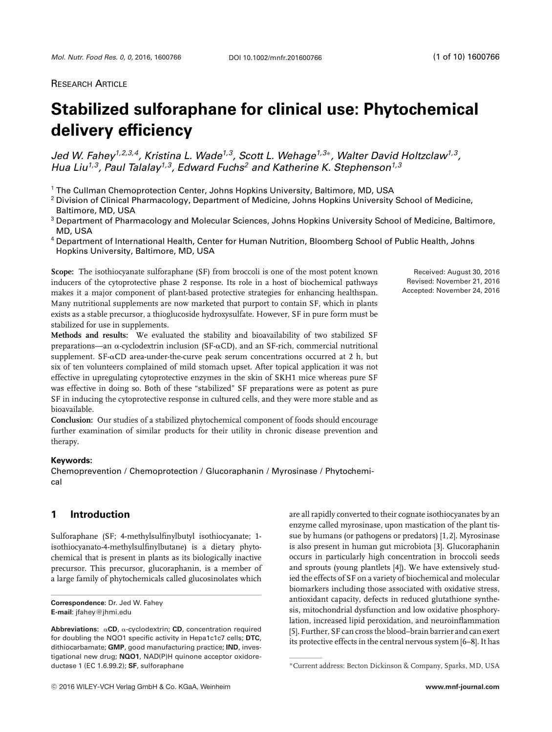# **RESEARCH ARTICLE**

# **Stabilized sulforaphane for clinical use: Phytochemical delivery efficiency**

*Jed W. Fahey1,2,3,4, Kristina L. Wade1,3, Scott L. Wehage1,3*∗*, Walter David Holtzclaw1,3, Hua Liu1,3, Paul Talalay1,3, Edward Fuchs2 and Katherine K. Stephenson1,3*

<sup>1</sup> The Cullman Chemoprotection Center, Johns Hopkins University, Baltimore, MD, USA

<sup>2</sup> Division of Clinical Pharmacology, Department of Medicine, Johns Hopkins University School of Medicine, Baltimore, MD, USA

<sup>3</sup> Department of Pharmacology and Molecular Sciences, Johns Hopkins University School of Medicine, Baltimore, MD, USA

<sup>4</sup> Department of International Health, Center for Human Nutrition, Bloomberg School of Public Health, Johns Hopkins University, Baltimore, MD, USA

**Scope:** The isothiocyanate sulforaphane (SF) from broccoli is one of the most potent known inducers of the cytoprotective phase 2 response. Its role in a host of biochemical pathways makes it a major component of plant-based protective strategies for enhancing healthspan. Many nutritional supplements are now marketed that purport to contain SF, which in plants exists as a stable precursor, a thioglucoside hydroxysulfate. However, SF in pure form must be stabilized for use in supplements.

**Methods and results:** We evaluated the stability and bioavailability of two stabilized SF preparations—an  $\alpha$ -cyclodextrin inclusion (SF- $\alpha$ CD), and an SF-rich, commercial nutritional supplement. SF-&CD area-under-the-curve peak serum concentrations occurred at 2 h, but six of ten volunteers complained of mild stomach upset. After topical application it was not effective in upregulating cytoprotective enzymes in the skin of SKH1 mice whereas pure SF was effective in doing so. Both of these "stabilized" SF preparations were as potent as pure SF in inducing the cytoprotective response in cultured cells, and they were more stable and as bioavailable.

**Conclusion:** Our studies of a stabilized phytochemical component of foods should encourage further examination of similar products for their utility in chronic disease prevention and therapy.

#### **Keywords:**

Chemoprevention / Chemoprotection / Glucoraphanin / Myrosinase / Phytochemical

# **1 Introduction**

Sulforaphane (SF; 4-methylsulfinylbutyl isothiocyanate; 1 isothiocyanato-4-methylsulfinylbutane) is a dietary phytochemical that is present in plants as its biologically inactive precursor. This precursor, glucoraphanin, is a member of a large family of phytochemicals called glucosinolates which

are all rapidly converted to their cognate isothiocyanates by an enzyme called myrosinase, upon mastication of the plant tissue by humans (or pathogens or predators) [1, 2]. Myrosinase is also present in human gut microbiota [3]. Glucoraphanin occurs in particularly high concentration in broccoli seeds and sprouts (young plantlets [4]). We have extensively studied the effects of SF on a variety of biochemical and molecular biomarkers including those associated with oxidative stress, antioxidant capacity, defects in reduced glutathione synthesis, mitochondrial dysfunction and low oxidative phosphorylation, increased lipid peroxidation, and neuroinflammation [5]. Further, SF can cross the blood–brain barrier and can exert its protective effects in the central nervous system [6–8]. It has

Received: August 30, 2016 Revised: November 21, 2016 Accepted: November 24, 2016

**Correspondence:** Dr. Jed W. Fahey **E-mail**: jfahey@jhmi.edu

**Abbreviations:** α CD, α-cyclodextrin; CD, concentration required for doubling the NQO1 specific activity in Hepa1c1c7 cells; **DTC**, dithiocarbamate; **GMP**, good manufacturing practice; **IND**, investigational new drug; **NQO1**, NAD(P)H quinone acceptor oxidoreductase 1 (EC 1.6.99.2); **SF**, sulforaphane

<sup>∗</sup>Current address: Becton Dickinson & Company, Sparks, MD, USA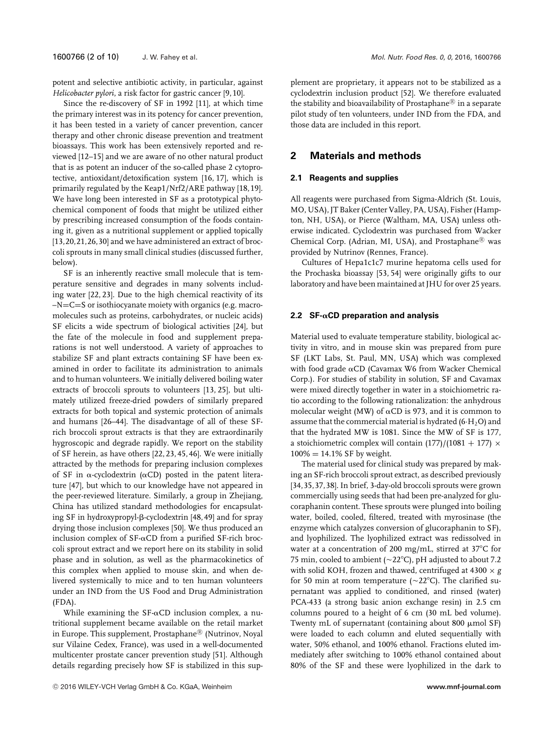potent and selective antibiotic activity, in particular, against

*Helicobacter pylori*, a risk factor for gastric cancer [9, 10]. Since the re-discovery of SF in 1992 [11], at which time the primary interest was in its potency for cancer prevention, it has been tested in a variety of cancer prevention, cancer therapy and other chronic disease prevention and treatment bioassays. This work has been extensively reported and reviewed [12–15] and we are aware of no other natural product that is as potent an inducer of the so-called phase 2 cytoprotective, antioxidant/detoxification system [16, 17], which is primarily regulated by the Keap1/Nrf2/ARE pathway [18, 19]. We have long been interested in SF as a prototypical phytochemical component of foods that might be utilized either by prescribing increased consumption of the foods containing it, given as a nutritional supplement or applied topically [13,20,21,26,30] and we have administered an extract of broccoli sprouts in many small clinical studies (discussed further, below).

SF is an inherently reactive small molecule that is temperature sensitive and degrades in many solvents including water [22, 23]. Due to the high chemical reactivity of its –N=C=S or isothiocyanate moiety with organics (e.g. macromolecules such as proteins, carbohydrates, or nucleic acids) SF elicits a wide spectrum of biological activities [24], but the fate of the molecule in food and supplement preparations is not well understood. A variety of approaches to stabilize SF and plant extracts containing SF have been examined in order to facilitate its administration to animals and to human volunteers. We initially delivered boiling water extracts of broccoli sprouts to volunteers [13, 25], but ultimately utilized freeze-dried powders of similarly prepared extracts for both topical and systemic protection of animals and humans [26–44]. The disadvantage of all of these SFrich broccoli sprout extracts is that they are extraordinarily hygroscopic and degrade rapidly. We report on the stability of SF herein, as have others [22, 23, 45, 46]. We were initially attracted by the methods for preparing inclusion complexes of SF in  $\alpha$ -cyclodextrin ( $\alpha$ CD) posted in the patent literature [47], but which to our knowledge have not appeared in the peer-reviewed literature. Similarly, a group in Zhejiang, China has utilized standard methodologies for encapsulating SF in hydroxypropyl- $\beta$ -cyclodextrin [48, 49] and for spray drying those inclusion complexes [50]. We thus produced an inclusion complex of SF- $\alpha$ CD from a purified SF-rich broccoli sprout extract and we report here on its stability in solid phase and in solution, as well as the pharmacokinetics of this complex when applied to mouse skin, and when delivered systemically to mice and to ten human volunteers under an IND from the US Food and Drug Administration (FDA).

While examining the  $SF\text{-}\alpha CD$  inclusion complex, a nutritional supplement became available on the retail market in Europe. This supplement, Prostaphane<sup>®</sup> (Nutrinov, Noyal sur Vilaine Cedex, France), was used in a well-documented multicenter prostate cancer prevention study [51]. Although details regarding precisely how SF is stabilized in this supplement are proprietary, it appears not to be stabilized as a cyclodextrin inclusion product [52]. We therefore evaluated the stability and bioavailability of Prostaphane $^{\circledR}$  in a separate pilot study of ten volunteers, under IND from the FDA, and those data are included in this report.

# **2 Materials and methods**

#### **2.1 Reagents and supplies**

All reagents were purchased from Sigma-Aldrich (St. Louis, MO, USA), JT Baker (Center Valley, PA, USA), Fisher (Hampton, NH, USA), or Pierce (Waltham, MA, USA) unless otherwise indicated. Cyclodextrin was purchased from Wacker Chemical Corp. (Adrian, MI, USA), and Prostaphane® was provided by Nutrinov (Rennes, France).

Cultures of Hepa1c1c7 murine hepatoma cells used for the Prochaska bioassay [53, 54] were originally gifts to our laboratory and have been maintained at JHU for over 25 years.

#### **2.2 SF-αCD preparation and analysis**

Material used to evaluate temperature stability, biological activity in vitro, and in mouse skin was prepared from pure SF (LKT Labs, St. Paul, MN, USA) which was complexed with food grade  $\alpha$ CD (Cavamax W6 from Wacker Chemical Corp.). For studies of stability in solution, SF and Cavamax were mixed directly together in water in a stoichiometric ratio according to the following rationalization: the anhydrous molecular weight (MW) of  $\alpha$ CD is 973, and it is common to assume that the commercial material is hydrated  $(6·H<sub>2</sub>O)$  and that the hydrated MW is 1081. Since the MW of SF is 177, a stoichiometric complex will contain  $(177)/(1081 + 177) \times$  $100\% = 14.1\%$  SF by weight.

The material used for clinical study was prepared by making an SF-rich broccoli sprout extract, as described previously [34,35,37,38]. In brief, 3-day-old broccoli sprouts were grown commercially using seeds that had been pre-analyzed for glucoraphanin content. These sprouts were plunged into boiling water, boiled, cooled, filtered, treated with myrosinase (the enzyme which catalyzes conversion of glucoraphanin to SF), and lyophilized. The lyophilized extract was redissolved in water at a concentration of 200 mg/mL, stirred at  $37^{\circ}$ C for 75 min, cooled to ambient ( $\sim$ 22 $^{\circ}$ C), pH adjusted to about 7.2 with solid KOH, frozen and thawed, centrifuged at 4300 × *g* for 50 min at room temperature ( $\sim$ 22°C). The clarified supernatant was applied to conditioned, and rinsed (water) PCA-433 (a strong basic anion exchange resin) in 2.5 cm columns poured to a height of 6 cm (30 mL bed volume). Twenty mL of supernatant (containing about  $800 \mu$ mol SF) were loaded to each column and eluted sequentially with water, 50% ethanol, and 100% ethanol. Fractions eluted immediately after switching to 100% ethanol contained about 80% of the SF and these were lyophilized in the dark to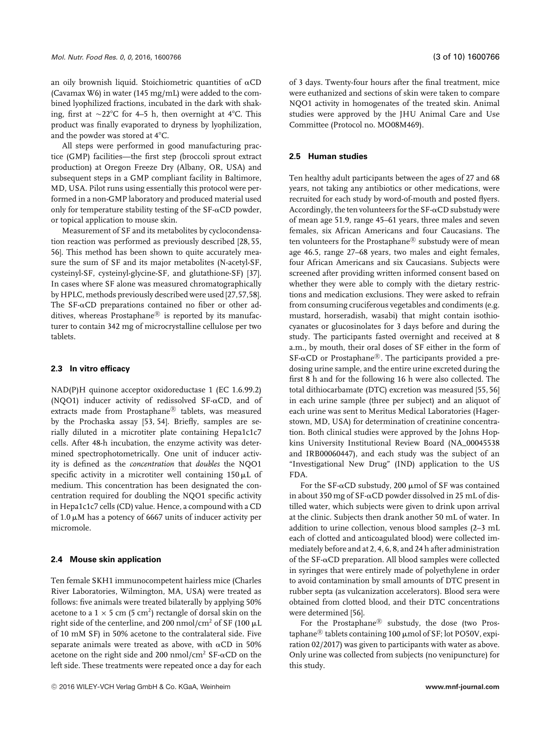an oily brownish liquid. Stoichiometric quantities of  $\alpha CD$ (Cavamax W6) in water (145 mg/mL) were added to the combined lyophilized fractions, incubated in the dark with shaking, first at  $\sim$ 22°C for 4–5 h, then overnight at 4°C. This product was finally evaporated to dryness by lyophilization, and the powder was stored at 4°C.

All steps were performed in good manufacturing practice (GMP) facilities—the first step (broccoli sprout extract production) at Oregon Freeze Dry (Albany, OR, USA) and subsequent steps in a GMP compliant facility in Baltimore, MD, USA. Pilot runs using essentially this protocol were performed in a non-GMP laboratory and produced material used only for temperature stability testing of the SF- $\alpha$ CD powder, or topical application to mouse skin.

Measurement of SF and its metabolites by cyclocondensation reaction was performed as previously described [28, 55, 56]. This method has been shown to quite accurately measure the sum of SF and its major metabolites (N-acetyl-SF, cysteinyl-SF, cysteinyl-glycine-SF, and glutathione-SF) [37]. In cases where SF alone was measured chromatographically by HPLC, methods previously described were used [27,57,58]. The SF- $\alpha$ CD preparations contained no fiber or other additives, whereas Prostaphane $\mathbb B$  is reported by its manufacturer to contain 342 mg of microcrystalline cellulose per two tablets.

## **2.3 In vitro efficacy**

NAD(P)H quinone acceptor oxidoreductase 1 (EC 1.6.99.2) (NQO1) inducer activity of redissolved SF- $\alpha$ CD, and of extracts made from Prostaphane® tablets, was measured by the Prochaska assay [53, 54]. Briefly, samples are serially diluted in a microtiter plate containing Hepa1c1c7 cells. After 48-h incubation, the enzyme activity was determined spectrophotometrically. One unit of inducer activity is defined as the *concentration* that *doubles* the NQO1 specific activity in a microtiter well containing  $150 \mu L$  of medium. This concentration has been designated the concentration required for doubling the NQO1 specific activity in Hepa1c1c7 cells (CD) value. Hence, a compound with a CD of  $1.0 \mu$ M has a potency of 6667 units of inducer activity per micromole.

### **2.4 Mouse skin application**

Ten female SKH1 immunocompetent hairless mice (Charles River Laboratories, Wilmington, MA, USA) were treated as follows: five animals were treated bilaterally by applying 50% acetone to a  $1 \times 5$  cm (5 cm<sup>2</sup>) rectangle of dorsal skin on the right side of the centerline, and 200 nmol/cm<sup>2</sup> of SF (100  $\mu$ L of 10 mM SF) in 50% acetone to the contralateral side. Five separate animals were treated as above, with  $\alpha$ CD in 50% acetone on the right side and 200 nmol/cm<sup>2</sup> SF- $\alpha$ CD on the left side. These treatments were repeated once a day for each

of 3 days. Twenty-four hours after the final treatment, mice were euthanized and sections of skin were taken to compare NQO1 activity in homogenates of the treated skin. Animal studies were approved by the JHU Animal Care and Use Committee (Protocol no. MO08M469).

## **2.5 Human studies**

Ten healthy adult participants between the ages of 27 and 68 years, not taking any antibiotics or other medications, were recruited for each study by word-of-mouth and posted flyers. Accordingly, the ten volunteers for the SF- $\alpha$ CD substudy were of mean age 51.9, range 45–61 years, three males and seven females, six African Americans and four Caucasians. The ten volunteers for the Prostaphane® substudy were of mean age 46.5, range 27–68 years, two males and eight females, four African Americans and six Caucasians. Subjects were screened after providing written informed consent based on whether they were able to comply with the dietary restrictions and medication exclusions. They were asked to refrain from consuming cruciferous vegetables and condiments (e.g. mustard, horseradish, wasabi) that might contain isothiocyanates or glucosinolates for 3 days before and during the study. The participants fasted overnight and received at 8 a.m., by mouth, their oral doses of SF either in the form of  $SF-\alphaCD$  or Prostaphane<sup>®</sup>. The participants provided a predosing urine sample, and the entire urine excreted during the first 8 h and for the following 16 h were also collected. The total dithiocarbamate (DTC) excretion was measured [55, 56] in each urine sample (three per subject) and an aliquot of each urine was sent to Meritus Medical Laboratories (Hagerstown, MD, USA) for determination of creatinine concentration. Both clinical studies were approved by the Johns Hopkins University Institutional Review Board (NA\_00045538 and IRB00060447), and each study was the subject of an "Investigational New Drug" (IND) application to the US FDA.

For the SF- $\alpha$ CD substudy, 200  $\mu$ mol of SF was contained in about 350 mg of SF- $\alpha$ CD powder dissolved in 25 mL of distilled water, which subjects were given to drink upon arrival at the clinic. Subjects then drank another 50 mL of water. In addition to urine collection, venous blood samples (2–3 mL each of clotted and anticoagulated blood) were collected immediately before and at 2, 4, 6, 8, and 24 h after administration of the SF- $\alpha$ CD preparation. All blood samples were collected in syringes that were entirely made of polyethylene in order to avoid contamination by small amounts of DTC present in rubber septa (as vulcanization accelerators). Blood sera were obtained from clotted blood, and their DTC concentrations were determined [56].

For the Prostaphane $\mathbb{B}$  substudy, the dose (two Prostaphane<sup>®</sup> tablets containing 100  $\mu$ mol of SF; lot PO50V, expiration 02/2017) was given to participants with water as above. Only urine was collected from subjects (no venipuncture) for this study.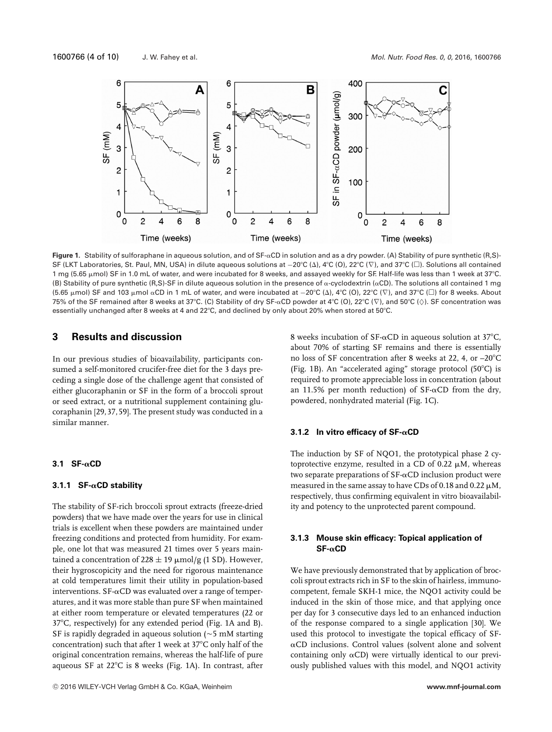

**Figure 1.** Stability of sulforaphane in aqueous solution, and of SF- $\alpha$ CD in solution and as a dry powder. (A) Stability of pure synthetic (R,S)-SF (LKT Laboratories, St. Paul, MN, USA) in dilute aqueous solutions at  $-20^{\circ}\text{C}$  (Δ), 4°C (Ο), 22°C (∇), and 37°C (□). Solutions all contained 1 mg (5.65 µmol) SF in 1.0 mL of water, and were incubated for 8 weeks, and assayed weekly for SF. Half-life was less than 1 week at 37°C. (B) Stability of pure synthetic (R,S)-SF in dilute aqueous solution in the presence of  $\alpha$ -cyclodextrin ( $\alpha$ CD). The solutions all contained 1 mg (5.65 µmol) SF and 103 µmol  $\alpha$ CD in 1 mL of water, and were incubated at  $-20^{\circ}\text{C}$  ( $\lambda$ ),  $4^{\circ}\text{C}$  (O), 22 $^{\circ}\text{C}$  ( $\nabla$ ), and 37 $^{\circ}\text{C}$  ( $\square$ ) for 8 weeks. About 75% of the SF remained after 8 weeks at 37°C. (C) Stability of dry SF-αCD powder at 4°C (O), 22°C ( $\triangledown$ ), and 50°C ( $\Diamond$ ). SF concentration was essentially unchanged after 8 weeks at 4 and 22°C, and declined by only about 20% when stored at 50°C.

# **3 Results and discussion**

In our previous studies of bioavailability, participants consumed a self-monitored crucifer-free diet for the 3 days preceding a single dose of the challenge agent that consisted of either glucoraphanin or SF in the form of a broccoli sprout or seed extract, or a nutritional supplement containing glucoraphanin [29, 37, 59]. The present study was conducted in a similar manner.

## **3.1 SF-αCD**

## **3.1.1 SF-αCD stability**

The stability of SF-rich broccoli sprout extracts (freeze-dried powders) that we have made over the years for use in clinical trials is excellent when these powders are maintained under freezing conditions and protected from humidity. For example, one lot that was measured 21 times over 5 years maintained a concentration of 228  $\pm$  19  $\mu$ mol/g (1 SD). However, their hygroscopicity and the need for rigorous maintenance at cold temperatures limit their utility in population-based interventions.  $\text{SF-}\alpha\text{CD}$  was evaluated over a range of temperatures, and it was more stable than pure SF when maintained at either room temperature or elevated temperatures (22 or 37C, respectively) for any extended period (Fig. 1A and B). SF is rapidly degraded in aqueous solution ( $\sim$  5 mM starting concentration) such that after 1 week at  $37^{\circ}$ C only half of the original concentration remains, whereas the half-life of pure aqueous SF at  $22^{\circ}$ C is 8 weeks (Fig. 1A). In contrast, after 8 weeks incubation of  $SF-\alpha CD$  in aqueous solution at 37°C, about 70% of starting SF remains and there is essentially no loss of SF concentration after 8 weeks at 22, 4, or -20°C (Fig. 1B). An "accelerated aging" storage protocol (50 $^{\circ}$ C) is required to promote appreciable loss in concentration (about an 11.5% per month reduction) of  $SF\text{-}\alpha CD$  from the dry, powdered, nonhydrated material (Fig. 1C).

## $3.1.2$  In vitro efficacy of SF- $\alpha$ CD

The induction by SF of NQO1, the prototypical phase 2 cytoprotective enzyme, resulted in a CD of 0.22  $\mu$ M, whereas two separate preparations of  $SF-\alpha CD$  inclusion product were measured in the same assay to have CDs of 0.18 and 0.22  $\mu$ M, respectively, thus confirming equivalent in vitro bioavailability and potency to the unprotected parent compound.

## **3.1.3 Mouse skin efficacy: Topical application of SF-**-**CD**

We have previously demonstrated that by application of broccoli sprout extracts rich in SF to the skin of hairless, immunocompetent, female SKH-1 mice, the NQO1 activity could be induced in the skin of those mice, and that applying once per day for 3 consecutive days led to an enhanced induction of the response compared to a single application [30]. We used this protocol to investigate the topical efficacy of SF-  $\alpha$ CD inclusions. Control values (solvent alone and solvent containing only  $\alpha$ CD) were virtually identical to our previously published values with this model, and NQO1 activity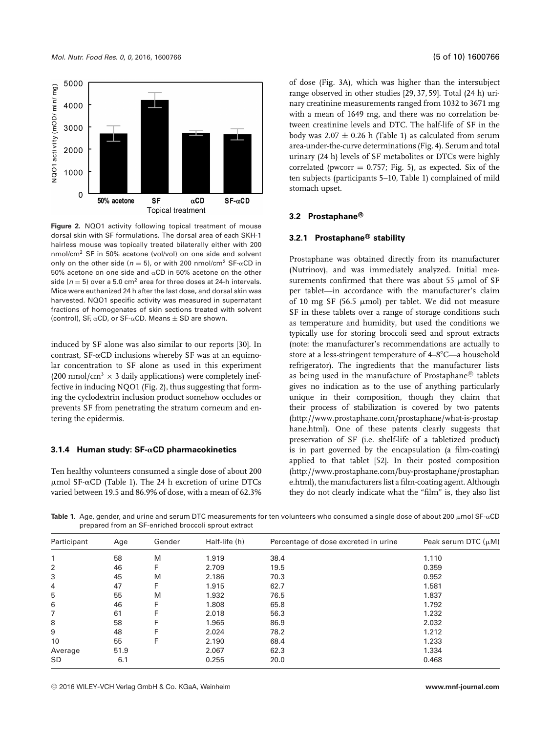

**Figure 2.** NQO1 activity following topical treatment of mouse dorsal skin with SF formulations. The dorsal area of each SKH-1 hairless mouse was topically treated bilaterally either with 200 nmol/cm2 SF in 50% acetone (vol/vol) on one side and solvent only on the other side ( $n = 5$ ), or with 200 nmol/cm<sup>2</sup> SF- $\alpha$ CD in 50% acetone on one side and  $\alpha$ CD in 50% acetone on the other side ( $n = 5$ ) over a 5.0 cm<sup>2</sup> area for three doses at 24-h intervals. Mice were euthanized 24 h after the last dose, and dorsal skin was harvested. NQO1 specific activity was measured in supernatant fractions of homogenates of skin sections treated with solvent (control), SF,  $\alpha$ CD, or SF- $\alpha$ CD. Means  $\pm$  SD are shown.

induced by SF alone was also similar to our reports [30]. In contrast,  $SF-\alpha CD$  inclusions whereby  $SF$  was at an equimolar concentration to SF alone as used in this experiment (200 nmol/cm<sup>3</sup>  $\times$  3 daily applications) were completely ineffective in inducing NQO1 (Fig. 2), thus suggesting that forming the cyclodextrin inclusion product somehow occludes or prevents SF from penetrating the stratum corneum and entering the epidermis.

#### 3.1.4 Human study: SF-αCD pharmacokinetics

Ten healthy volunteers consumed a single dose of about 200  $\mu$ mol SF- $\alpha$ CD (Table 1). The 24 h excretion of urine DTCs varied between 19.5 and 86.9% of dose, with a mean of 62.3%

of dose (Fig. 3A), which was higher than the intersubject range observed in other studies [29, 37, 59]. Total (24 h) urinary creatinine measurements ranged from 1032 to 3671 mg with a mean of 1649 mg, and there was no correlation between creatinine levels and DTC. The half-life of SF in the body was  $2.07 \pm 0.26$  h (Table 1) as calculated from serum area-under-the-curve determinations (Fig. 4). Serum and total urinary (24 h) levels of SF metabolites or DTCs were highly correlated (pwcorr  $= 0.757$ ; Fig. 5), as expected. Six of the ten subjects (participants 5–10, Table 1) complained of mild stomach upset.

### **3.2 Prostaphane**<sup>®</sup>

#### **3.2.1 Prostaphane-<sup>R</sup> stability**

Prostaphane was obtained directly from its manufacturer (Nutrinov), and was immediately analyzed. Initial measurements confirmed that there was about 55  $\mu$ mol of SF per tablet—in accordance with the manufacturer's claim of 10 mg SF (56.5  $\mu$ mol) per tablet. We did not measure SF in these tablets over a range of storage conditions such as temperature and humidity, but used the conditions we typically use for storing broccoli seed and sprout extracts (note: the manufacturer's recommendations are actually to store at a less-stringent temperature of 4–8°C—a household refrigerator). The ingredients that the manufacturer lists as being used in the manufacture of Prostaphane $^{\circledR}$  tablets gives no indication as to the use of anything particularly unique in their composition, though they claim that their process of stabilization is covered by two patents [\(http://www.prostaphane.com/prostaphane/what-is-prostap](http://www.prostaphane.com/prostaphane/what-is-prostaphane.html) [hane.html\)](http://www.prostaphane.com/prostaphane/what-is-prostaphane.html). One of these patents clearly suggests that preservation of SF (i.e. shelf-life of a tabletized product) is in part governed by the encapsulation (a film-coating) applied to that tablet [52]. In their posted composition [\(http://www.prostaphane.com/buy-prostaphane/prostaphan](http://www.prostaphane.com/buy-prostaphane/prostaphane.html) [e.html\)](http://www.prostaphane.com/buy-prostaphane/prostaphane.html), the manufacturers list a film-coating agent. Although they do not clearly indicate what the "film" is, they also list

**Table 1.** Age, gender, and urine and serum DTC measurements for ten volunteers who consumed a single dose of about 200  $\mu$ mol SF- $\alpha$ CD prepared from an SF-enriched broccoli sprout extract

| Participant | Age  | Gender | Half-life (h) | Percentage of dose excreted in urine | Peak serum DTC $(\mu M)$ |
|-------------|------|--------|---------------|--------------------------------------|--------------------------|
| 1           | 58   | M      | 1.919         | 38.4                                 | 1.110                    |
| 2           | 46   | F      | 2.709         | 19.5                                 | 0.359                    |
| 3           | 45   | M      | 2.186         | 70.3                                 | 0.952                    |
| 4           | 47   | F      | 1.915         | 62.7                                 | 1.581                    |
| 5           | 55   | M      | 1.932         | 76.5                                 | 1.837                    |
| 6           | 46   | F      | 1.808         | 65.8                                 | 1.792                    |
| 7           | 61   |        | 2.018         | 56.3                                 | 1.232                    |
| 8           | 58   | Е      | 1.965         | 86.9                                 | 2.032                    |
| 9           | 48   | F      | 2.024         | 78.2                                 | 1.212                    |
| 10          | 55   | F      | 2.190         | 68.4                                 | 1.233                    |
| Average     | 51.9 |        | 2.067         | 62.3                                 | 1.334                    |
| SD.         | 6.1  |        | 0.255         | 20.0                                 | 0.468                    |

<sup>C</sup> 2016 WILEY-VCH Verlag GmbH & Co. KGaA, Weinheim **www.mnf-journal.com**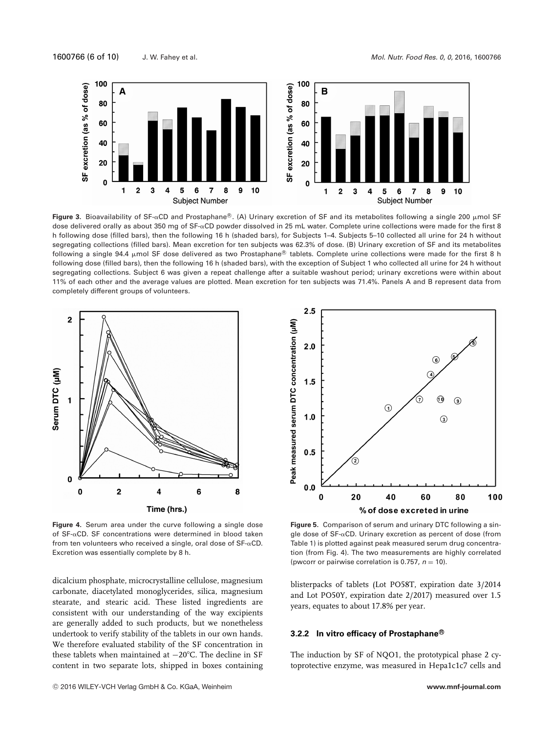1600766 (6 of 10) J. W. Fahey et al. *Mol. Nutr. Food Res. 0*, *0*, 2016, 1600766



**Figure 3.** Bioavailability of SF-&CD and Prostaphane®. (A) Urinary excretion of SF and its metabolites following a single 200 µmol SF dose delivered orally as about 350 mg of SF-αCD powder dissolved in 25 mL water. Complete urine collections were made for the first 8 h following dose (filled bars), then the following 16 h (shaded bars), for Subjects 1–4. Subjects 5–10 collected all urine for 24 h without segregating collections (filled bars). Mean excretion for ten subjects was 62.3% of dose. (B) Urinary excretion of SF and its metabolites following a single 94.4  $\mu$ mol SF dose delivered as two Prostaphane® tablets. Complete urine collections were made for the first 8 h following dose (filled bars), then the following 16 h (shaded bars), with the exception of Subject 1 who collected all urine for 24 h without segregating collections. Subject 6 was given a repeat challenge after a suitable washout period; urinary excretions were within about 11% of each other and the average values are plotted. Mean excretion for ten subjects was 71.4%. Panels A and B represent data from completely different groups of volunteers.



**Figure 4.** Serum area under the curve following a single dose of  $SF-\alpha$ CD. SF concentrations were determined in blood taken from ten volunteers who received a single, oral dose of SF- $\alpha$ CD. Excretion was essentially complete by 8 h.

dicalcium phosphate, microcrystalline cellulose, magnesium carbonate, diacetylated monoglycerides, silica, magnesium stearate, and stearic acid. These listed ingredients are consistent with our understanding of the way excipients are generally added to such products, but we nonetheless undertook to verify stability of the tablets in our own hands. We therefore evaluated stability of the SF concentration in these tablets when maintained at −20°C. The decline in SF content in two separate lots, shipped in boxes containing



**Figure 5.** Comparison of serum and urinary DTC following a sin $g$ le dose of SF- $\alpha$ CD. Urinary excretion as percent of dose (from Table 1) is plotted against peak measured serum drug concentration (from Fig. 4). The two measurements are highly correlated (pwcorr or pairwise correlation is 0.757,  $n = 10$ ).

blisterpacks of tablets (Lot PO58T, expiration date 3/2014 and Lot PO50Y, expiration date 2/2017) measured over 1.5 years, equates to about 17.8% per year.

#### $3.2.2$  In vitro efficacy of Prostaphane<sup>®</sup>

The induction by SF of NQO1, the prototypical phase 2 cytoprotective enzyme, was measured in Hepa1c1c7 cells and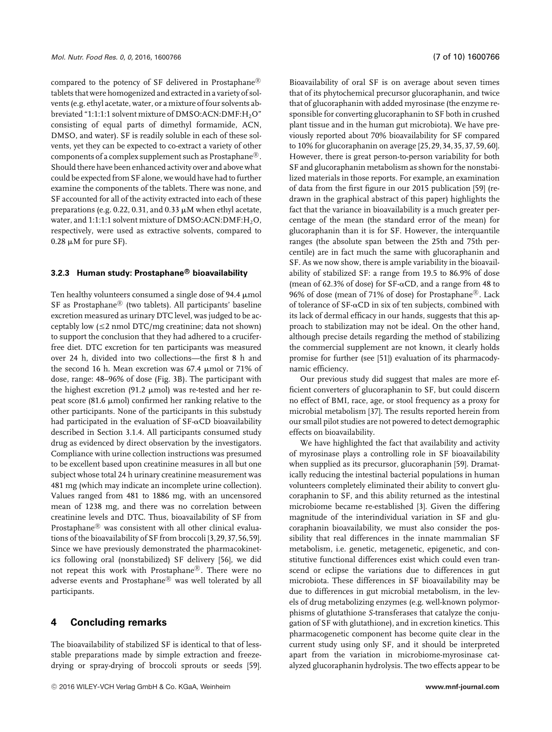compared to the potency of SF delivered in Prostaphane<sup>®</sup> tablets that were homogenized and extracted in a variety of solvents (e.g. ethyl acetate, water, or a mixture of four solvents abbreviated "1:1:1:1 solvent mixture of DMSO:ACN:DMF:H<sub>2</sub>O" consisting of equal parts of dimethyl formamide, ACN, DMSO, and water). SF is readily soluble in each of these solvents, yet they can be expected to co-extract a variety of other components of a complex supplement such as Prostaphane $^{\circledR}$ . Should there have been enhanced activity over and above what could be expected from SF alone, we would have had to further examine the components of the tablets. There was none, and SF accounted for all of the activity extracted into each of these preparations (e.g. 0.22, 0.31, and 0.33  $\mu$ M when ethyl acetate, water, and  $1:1:1:1$  solvent mixture of DMSO:ACN:DMF: $H_2O$ , respectively, were used as extractive solvents, compared to  $0.28 \mu M$  for pure SF).

### **3.2.3 Human study: Prostaphane-<sup>R</sup> bioavailability**

Ten healthy volunteers consumed a single dose of 94.4  $\mu$ mol SF as Prostaphane $^{\circledR}$  (two tablets). All participants' baseline excretion measured as urinary DTC level, was judged to be acceptably low  $(\leq 2 \text{ nmol } DTC/mg \text{ creating}$ ; data not shown) to support the conclusion that they had adhered to a cruciferfree diet. DTC excretion for ten participants was measured over 24 h, divided into two collections—the first 8 h and the second 16 h. Mean excretion was  $67.4 \mu$ mol or 71% of dose, range: 48–96% of dose (Fig. 3B). The participant with the highest excretion  $(91.2 \mu \text{mol})$  was re-tested and her repeat score (81.6  $\mu$ mol) confirmed her ranking relative to the other participants. None of the participants in this substudy had participated in the evaluation of SF- $\alpha$ CD bioavailability described in Section 3.1.4. All participants consumed study drug as evidenced by direct observation by the investigators. Compliance with urine collection instructions was presumed to be excellent based upon creatinine measures in all but one subject whose total 24 h urinary creatinine measurement was 481 mg (which may indicate an incomplete urine collection). Values ranged from 481 to 1886 mg, with an uncensored mean of 1238 mg, and there was no correlation between creatinine levels and DTC. Thus, bioavailability of SF from Prostaphane $^{\circledR}$  was consistent with all other clinical evaluations of the bioavailability of SF from broccoli [3,29,37,56,59]. Since we have previously demonstrated the pharmacokinetics following oral (nonstabilized) SF delivery [56], we did not repeat this work with Prostaphane®. There were no adverse events and Prostaphane® was well tolerated by all participants.

# **4 Concluding remarks**

The bioavailability of stabilized SF is identical to that of lessstable preparations made by simple extraction and freezedrying or spray-drying of broccoli sprouts or seeds [59].

Bioavailability of oral SF is on average about seven times that of its phytochemical precursor glucoraphanin, and twice that of glucoraphanin with added myrosinase (the enzyme responsible for converting glucoraphanin to SF both in crushed plant tissue and in the human gut microbiota). We have previously reported about 70% bioavailability for SF compared to 10% for glucoraphanin on average [25,29,34,35,37,59,60]. However, there is great person-to-person variability for both SF and glucoraphanin metabolism as shown for the nonstabilized materials in those reports. For example, an examination of data from the first figure in our 2015 publication [59] (redrawn in the graphical abstract of this paper) highlights the fact that the variance in bioavailability is a much greater percentage of the mean (the standard error of the mean) for glucoraphanin than it is for SF. However, the interquantile ranges (the absolute span between the 25th and 75th percentile) are in fact much the same with glucoraphanin and SF. As we now show, there is ample variability in the bioavailability of stabilized SF: a range from 19.5 to 86.9% of dose (mean of 62.3% of dose) for SF- $\alpha$ CD, and a range from 48 to 96% of dose (mean of 71% of dose) for Prostaphane<sup>®</sup>. Lack of tolerance of  $SF-\alpha CD$  in six of ten subjects, combined with its lack of dermal efficacy in our hands, suggests that this approach to stabilization may not be ideal. On the other hand, although precise details regarding the method of stabilizing the commercial supplement are not known, it clearly holds promise for further (see [51]) evaluation of its pharmacodynamic efficiency.

Our previous study did suggest that males are more efficient converters of glucoraphanin to SF, but could discern no effect of BMI, race, age, or stool frequency as a proxy for microbial metabolism [37]. The results reported herein from our small pilot studies are not powered to detect demographic effects on bioavailability.

We have highlighted the fact that availability and activity of myrosinase plays a controlling role in SF bioavailability when supplied as its precursor, glucoraphanin [59]. Dramatically reducing the intestinal bacterial populations in human volunteers completely eliminated their ability to convert glucoraphanin to SF, and this ability returned as the intestinal microbiome became re-established [3]. Given the differing magnitude of the interindividual variation in SF and glucoraphanin bioavailability, we must also consider the possibility that real differences in the innate mammalian SF metabolism, i.e. genetic, metagenetic, epigenetic, and constitutive functional differences exist which could even transcend or eclipse the variations due to differences in gut microbiota. These differences in SF bioavailability may be due to differences in gut microbial metabolism, in the levels of drug metabolizing enzymes (e.g. well-known polymorphisms of glutathione *S*-transferases that catalyze the conjugation of SF with glutathione), and in excretion kinetics. This pharmacogenetic component has become quite clear in the current study using only SF, and it should be interpreted apart from the variation in microbiome-myrosinase catalyzed glucoraphanin hydrolysis. The two effects appear to be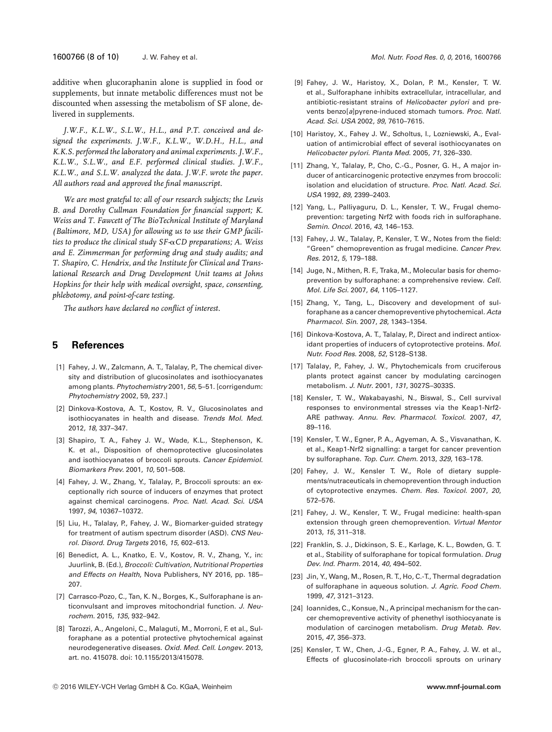additive when glucoraphanin alone is supplied in food or supplements, but innate metabolic differences must not be discounted when assessing the metabolism of SF alone, delivered in supplements.

*J.W.F., K.L.W., S.L.W., H.L., and P.T. conceived and designed the experiments. J.W.F., K.L.W., W.D.H., H.L., and K.K.S. performed the laboratory and animal experiments. J.W.F., K.L.W., S.L.W., and E.F. performed clinical studies. J.W.F., K.L.W., and S.L.W. analyzed the data. J.W.F. wrote the paper. All authors read and approved the final manuscript.*

*We are most grateful to: all of our research subjects; the Lewis B. and Dorothy Cullman Foundation for financial support; K. Weiss and T. Fawcett of The BioTechnical Institute of Maryland (Baltimore, MD, USA) for allowing us to use their GMP facili*ties to produce the clinical study SF- $\alpha$ CD preparations; A. Weiss *and E. Zimmerman for performing drug and study audits; and T. Shapiro, C. Hendrix, and the Institute for Clinical and Translational Research and Drug Development Unit teams at Johns Hopkins for their help with medical oversight, space, consenting, phlebotomy, and point-of-care testing.*

*The authors have declared no conflict of interest.*

# **5 References**

- [1] Fahey, J. W., Zalcmann, A. T., Talalay, P., The chemical diversity and distribution of glucosinolates and isothiocyanates among plants. *Phytochemistry* 2001, *56*, 5–51. [corrigendum: *Phytochemistry* 2002, 59, 237.]
- [2] Dinkova-Kostova, A. T., Kostov, R. V., Glucosinolates and isothiocyanates in health and disease. *Trends Mol. Med.* 2012, *18*, 337–347.
- [3] Shapiro, T. A., Fahey J. W., Wade, K.L., Stephenson, K. K. et al., Disposition of chemoprotective glucosinolates and isothiocyanates of broccoli sprouts. *Cancer Epidemiol. Biomarkers Prev.* 2001, *10*, 501–508.
- [4] Fahey, J. W., Zhang, Y., Talalay, P., Broccoli sprouts: an exceptionally rich source of inducers of enzymes that protect against chemical carcinogens. *Proc. Natl. Acad. Sci. USA* 1997, *94*, 10367–10372.
- [5] Liu, H., Talalay, P., Fahey, J. W., Biomarker-guided strategy for treatment of autism spectrum disorder (ASD). *CNS Neurol. Disord. Drug Targets* 2016, *15*, 602–613.
- [6] Benedict, A. L., Knatko, E. V., Kostov, R. V., Zhang, Y., in: Juurlink, B. (Ed.), *Broccoli: Cultivation, Nutritional Properties and Effects on Health*, Nova Publishers, NY 2016, pp. 185– 207.
- [7] Carrasco-Pozo, C., Tan, K. N., Borges, K., Sulforaphane is anticonvulsant and improves mitochondrial function. *J. Neurochem*. 2015, *135*, 932–942.
- [8] Tarozzi, A., Angeloni, C., Malaguti, M., Morroni, F. et al., Sulforaphane as a potential protective phytochemical against neurodegenerative diseases. *Oxid. Med. Cell. Longev*. 2013, art. no. 415078. doi: [10.1155/2013/415078.](https://doi.org/10.1155/2013/415078)
- [9] Fahey, J. W., Haristoy, X., Dolan, P. M., Kensler, T. W. et al., Sulforaphane inhibits extracellular, intracellular, and antibiotic-resistant strains of *Helicobacter pylori* and prevents benzo[*a*]pyrene-induced stomach tumors. *Proc. Natl. Acad. Sci. USA* 2002, *99*, 7610–7615.
- [10] Haristoy, X., Fahey J. W., Scholtus, I., Lozniewski, A., Evaluation of antimicrobial effect of several isothiocyanates on *Helicobacter pylori*. *Planta Med*. 2005, *71*, 326–330.
- [11] Zhang, Y., Talalay, P., Cho, C.-G., Posner, G. H., A major inducer of anticarcinogenic protective enzymes from broccoli: isolation and elucidation of structure. *Proc. Natl. Acad. Sci. USA* 1992, *89*, 2399–2403.
- [12] Yang, L., Palliyaguru, D. L., Kensler, T. W., Frugal chemoprevention: targeting Nrf2 with foods rich in sulforaphane. *Semin. Oncol.* 2016, *43*, 146–153.
- [13] Fahey, J. W., Talalay, P., Kensler, T. W., Notes from the field: "Green" chemoprevention as frugal medicine. *Cancer Prev. Res*. 2012, *5*, 179–188.
- [14] Juge, N., Mithen, R. F., Traka, M., Molecular basis for chemoprevention by sulforaphane: a comprehensive review. *Cell. Mol. Life Sci.* 2007, *64*, 1105–1127.
- [15] Zhang, Y., Tang, L., Discovery and development of sulforaphane as a cancer chemopreventive phytochemical. *Acta Pharmacol. Sin.* 2007, *28*, 1343–1354.
- [16] Dinkova-Kostova, A. T., Talalay, P., Direct and indirect antioxidant properties of inducers of cytoprotective proteins. *Mol. Nutr. Food Res*. 2008, *52*, S128–S138.
- [17] Talalay, P., Fahey, J. W., Phytochemicals from cruciferous plants protect against cancer by modulating carcinogen metabolism. *J. Nutr*. 2001, *131*, 3027S–3033S.
- [18] Kensler, T. W., Wakabayashi, N., Biswal, S., Cell survival responses to environmental stresses via the Keap1-Nrf2- ARE pathway. *Annu. Rev. Pharmacol. Toxicol.* 2007, *47*, 89–116.
- [19] Kensler, T. W., Egner, P. A., Agyeman, A. S., Visvanathan, K. et al., Keap1-Nrf2 signalling: a target for cancer prevention by sulforaphane. *Top. Curr. Chem.* 2013, *329*, 163–178.
- [20] Fahey, J. W., Kensler T. W., Role of dietary supplements/nutraceuticals in chemoprevention through induction of cytoprotective enzymes. *Chem. Res. Toxicol.* 2007, *20*, 572–576.
- [21] Fahey, J. W., Kensler, T. W., Frugal medicine: health-span extension through green chemoprevention. *Virtual Mentor* 2013, *15*, 311–318.
- [22] Franklin, S. J., Dickinson, S. E., Karlage, K. L., Bowden, G. T. et al., Stability of sulforaphane for topical formulation. *Drug Dev. Ind. Pharm.* 2014, *40*, 494–502.
- [23] Jin, Y., Wang, M., Rosen, R. T., Ho, C.-T., Thermal degradation of sulforaphane in aqueous solution. *J. Agric. Food Chem.* 1999, *47*, 3121–3123.
- [24] Ioannides, C., Konsue, N., A principal mechanism for the cancer chemopreventive activity of phenethyl isothiocyanate is modulation of carcinogen metabolism. *Drug Metab. Rev*. 2015, *47*, 356–373.
- [25] Kensler, T. W., Chen, J.-G., Egner, P. A., Fahey, J. W. et al., Effects of glucosinolate-rich broccoli sprouts on urinary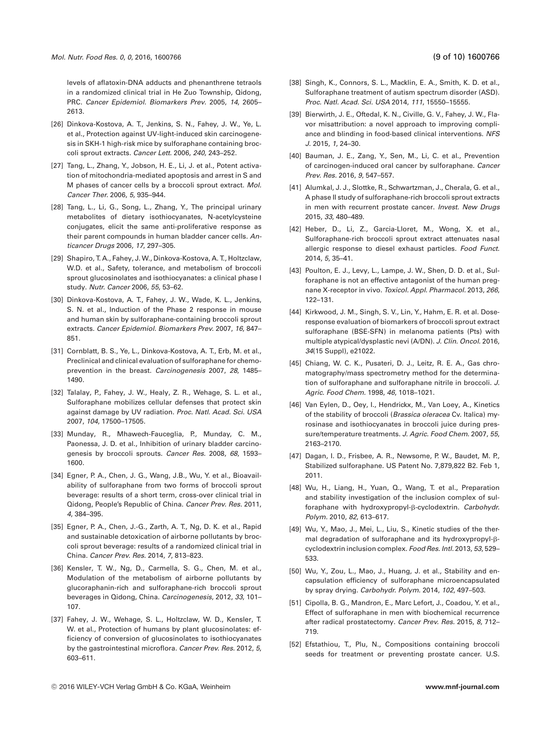- [26] Dinkova-Kostova, A. T., Jenkins, S. N., Fahey, J. W., Ye, L. et al., Protection against UV-light-induced skin carcinogenesis in SKH-1 high-risk mice by sulforaphane containing broccoli sprout extracts. *Cancer Lett*. 2006, *240*, 243–252.
- [27] Tang, L., Zhang, Y., Jobson, H. E., Li, J. et al., Potent activation of mitochondria-mediated apoptosis and arrest in S and M phases of cancer cells by a broccoli sprout extract. *Mol. Cancer Ther.* 2006, *5*, 935–944.
- [28] Tang, L., Li, G., Song, L., Zhang, Y., The principal urinary metabolites of dietary isothiocyanates, N-acetylcysteine conjugates, elicit the same anti-proliferative response as their parent compounds in human bladder cancer cells. *Anticancer Drugs* 2006, *17*, 297–305.
- [29] Shapiro, T. A., Fahey, J. W., Dinkova-Kostova, A. T., Holtzclaw, W.D. et al., Safety, tolerance, and metabolism of broccoli sprout glucosinolates and isothiocyanates: a clinical phase I study. *Nutr. Cancer* 2006, *55*, 53–62.
- [30] Dinkova-Kostova, A. T., Fahey, J. W., Wade, K. L., Jenkins, S. N. et al., Induction of the Phase 2 response in mouse and human skin by sulforaphane-containing broccoli sprout extracts. *Cancer Epidemiol. Biomarkers Prev.* 2007, *16*, 847– 851.
- [31] Cornblatt, B. S., Ye, L., Dinkova-Kostova, A. T., Erb, M. et al., Preclinical and clinical evaluation of sulforaphane for chemoprevention in the breast. *Carcinogenesis* 2007, *28*, 1485– 1490.
- [32] Talalay, P., Fahey, J. W., Healy, Z. R., Wehage, S. L. et al., Sulforaphane mobilizes cellular defenses that protect skin against damage by UV radiation. *Proc. Natl. Acad. Sci. USA* 2007, *104*, 17500–17505.
- [33] Munday, R., Mhawech-Fauceglia, P., Munday, C. M., Paonessa, J. D. et al., Inhibition of urinary bladder carcinogenesis by broccoli sprouts. *Cancer Res*. 2008, *68*, 1593– 1600.
- [34] Egner, P. A., Chen, J. G., Wang, J.B., Wu, Y. et al., Bioavailability of sulforaphane from two forms of broccoli sprout beverage: results of a short term, cross-over clinical trial in Qidong, People's Republic of China. *Cancer Prev. Res.* 2011, *4*, 384–395.
- [35] Egner, P. A., Chen, J.-G., Zarth, A. T., Ng, D. K. et al., Rapid and sustainable detoxication of airborne pollutants by broccoli sprout beverage: results of a randomized clinical trial in China. *Cancer Prev. Res.* 2014, *7*, 813–823.
- [36] Kensler, T. W., Ng, D., Carmella, S. G., Chen, M. et al., Modulation of the metabolism of airborne pollutants by glucoraphanin-rich and sulforaphane-rich broccoli sprout beverages in Qidong, China. *Carcinogenesis*, 2012, *33*, 101– 107.
- [37] Fahey, J. W., Wehage, S. L., Holtzclaw, W. D., Kensler, T. W. et al., Protection of humans by plant glucosinolates: efficiency of conversion of glucosinolates to isothiocyanates by the gastrointestinal microflora. *Cancer Prev. Res.* 2012, *5*, 603–611.
- [38] Singh, K., Connors, S. L., Macklin, E. A., Smith, K. D. et al., Sulforaphane treatment of autism spectrum disorder (ASD). *Proc. Natl. Acad. Sci. USA* 2014, *111*, 15550–15555.
- [39] Bierwirth, J. E., Oftedal, K. N., Civille, G. V., Fahey, J. W., Flavor misattribution: a novel approach to improving compliance and blinding in food-based clinical interventions. *NFS J*. 2015, *1*, 24–30.
- [40] Bauman, J. E., Zang, Y., Sen, M., Li, C. et al., Prevention of carcinogen-induced oral cancer by sulforaphane. *Cancer Prev. Res.* 2016, *9*, 547–557.
- [41] Alumkal, J. J., Slottke, R., Schwartzman, J., Cherala, G. et al., A phase II study of sulforaphane-rich broccoli sprout extracts in men with recurrent prostate cancer. *Invest. New Drugs* 2015, *33*, 480–489.
- [42] Heber, D., Li, Z., Garcia-Lloret, M., Wong, X. et al., Sulforaphane-rich broccoli sprout extract attenuates nasal allergic response to diesel exhaust particles. *Food Funct*. 2014, *5*, 35–41.
- [43] Poulton, E. J., Levy, L., Lampe, J. W., Shen, D. D. et al., Sulforaphane is not an effective antagonist of the human pregnane X-receptor in vivo. *Toxicol. Appl. Pharmacol.* 2013, *266*, 122–131.
- [44] Kirkwood, J. M., Singh, S. V., Lin, Y., Hahm, E. R. et al. Doseresponse evaluation of biomarkers of broccoli sprout extract sulforaphane (BSE-SFN) in melanoma patients (Pts) with multiple atypical/dysplastic nevi (A/DN). *J. Clin. Oncol*. 2016, *34*(15 Suppl), e21022.
- [45] Chiang, W. C. K., Pusateri, D. J., Leitz, R. E. A., Gas chromatography/mass spectrometry method for the determination of sulforaphane and sulforaphane nitrile in broccoli. *J. Agric. Food Chem.* 1998, *46*, 1018–1021.
- [46] Van Eylen, D., Oey, I., Hendrickx, M., Van Loey, A., Kinetics of the stability of broccoli (*Brassica oleracea* Cv. Italica) myrosinase and isothiocyanates in broccoli juice during pressure/temperature treatments. *J. Agric. Food Chem*. 2007, *55*, 2163–2170.
- [47] Dagan, I. D., Frisbee, A. R., Newsome, P. W., Baudet, M. P., Stabilized sulforaphane. US Patent No. 7,879,822 B2. Feb 1, 2011.
- [48] Wu, H., Liang, H., Yuan, Q., Wang, T. et al., Preparation and stability investigation of the inclusion complex of sulforaphane with hydroxypropyl-ß-cyclodextrin. *Carbohydr. Polym.* 2010, *82*, 613–617.
- [49] Wu, Y., Mao, J., Mei, L., Liu, S., Kinetic studies of the thermal degradation of sulforaphane and its hydroxypropyl- $\beta$ cyclodextrin inclusion complex. *Food Res. Intl.* 2013, *53*, 529– 533.
- [50] Wu, Y., Zou, L., Mao, J., Huang, J. et al., Stability and encapsulation efficiency of sulforaphane microencapsulated by spray drying. *Carbohydr. Polym.* 2014, *102*, 497–503.
- [51] Cipolla, B. G., Mandron, E., Marc Lefort, J., Coadou, Y. et al., Effect of sulforaphane in men with biochemical recurrence after radical prostatectomy. *Cancer Prev. Res.* 2015, *8*, 712– 719.
- [52] Efstathiou, T., Plu, N., Compositions containing broccoli seeds for treatment or preventing prostate cancer. U.S.